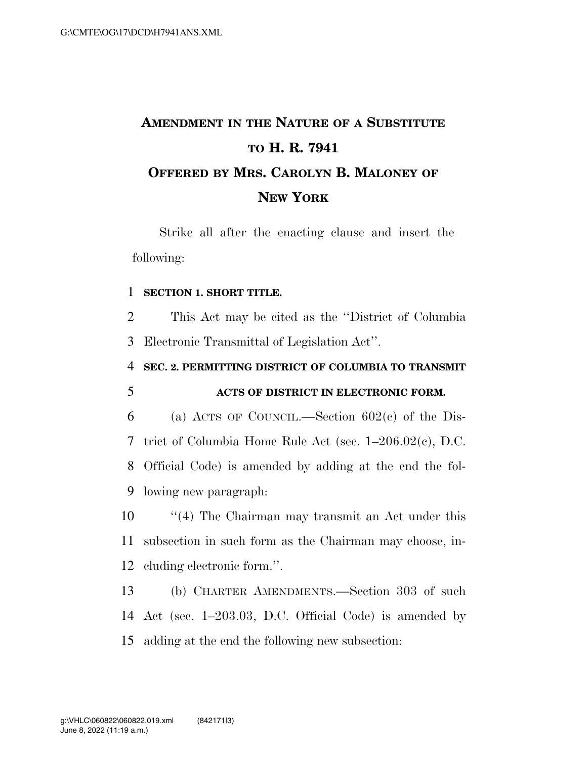# **AMENDMENT IN THE NATURE OF A SUBSTITUTE TO H. R. 7941 OFFERED BY MRS. CAROLYN B. MALONEY OF NEW YORK**

Strike all after the enacting clause and insert the following:

### 1 **SECTION 1. SHORT TITLE.**

2 This Act may be cited as the ''District of Columbia 3 Electronic Transmittal of Legislation Act''.

4 **SEC. 2. PERMITTING DISTRICT OF COLUMBIA TO TRANSMIT** 

## 5 **ACTS OF DISTRICT IN ELECTRONIC FORM.**

6 (a) ACTS OF COUNCIL.—Section  $602(c)$  of the Dis- trict of Columbia Home Rule Act (sec. 1–206.02(c), D.C. Official Code) is amended by adding at the end the fol-lowing new paragraph:

10 ''(4) The Chairman may transmit an Act under this 11 subsection in such form as the Chairman may choose, in-12 cluding electronic form.''.

13 (b) CHARTER AMENDMENTS.—Section 303 of such 14 Act (sec. 1–203.03, D.C. Official Code) is amended by 15 adding at the end the following new subsection: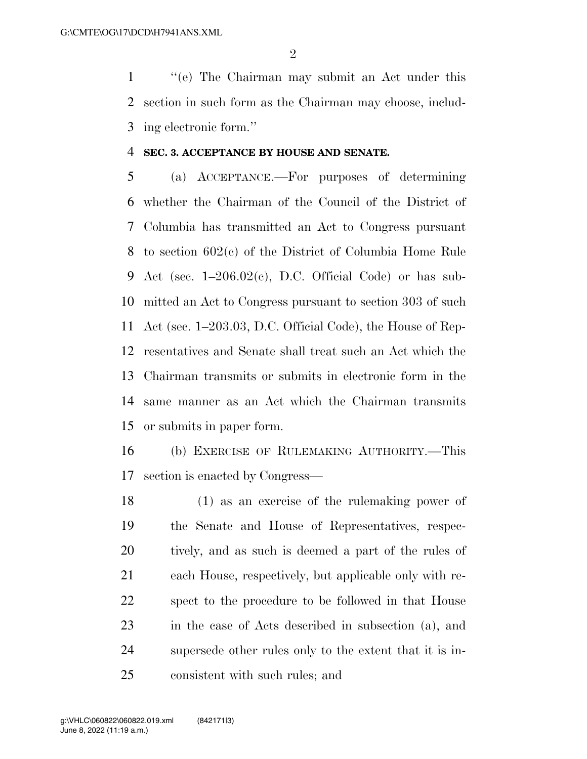''(e) The Chairman may submit an Act under this section in such form as the Chairman may choose, includ-ing electronic form.''

#### **SEC. 3. ACCEPTANCE BY HOUSE AND SENATE.**

 (a) ACCEPTANCE.—For purposes of determining whether the Chairman of the Council of the District of Columbia has transmitted an Act to Congress pursuant to section 602(c) of the District of Columbia Home Rule Act (sec. 1–206.02(c), D.C. Official Code) or has sub- mitted an Act to Congress pursuant to section 303 of such Act (sec. 1–203.03, D.C. Official Code), the House of Rep- resentatives and Senate shall treat such an Act which the Chairman transmits or submits in electronic form in the same manner as an Act which the Chairman transmits or submits in paper form.

 (b) EXERCISE OF RULEMAKING AUTHORITY.—This section is enacted by Congress—

 (1) as an exercise of the rulemaking power of the Senate and House of Representatives, respec- tively, and as such is deemed a part of the rules of each House, respectively, but applicable only with re- spect to the procedure to be followed in that House in the case of Acts described in subsection (a), and supersede other rules only to the extent that it is in-consistent with such rules; and